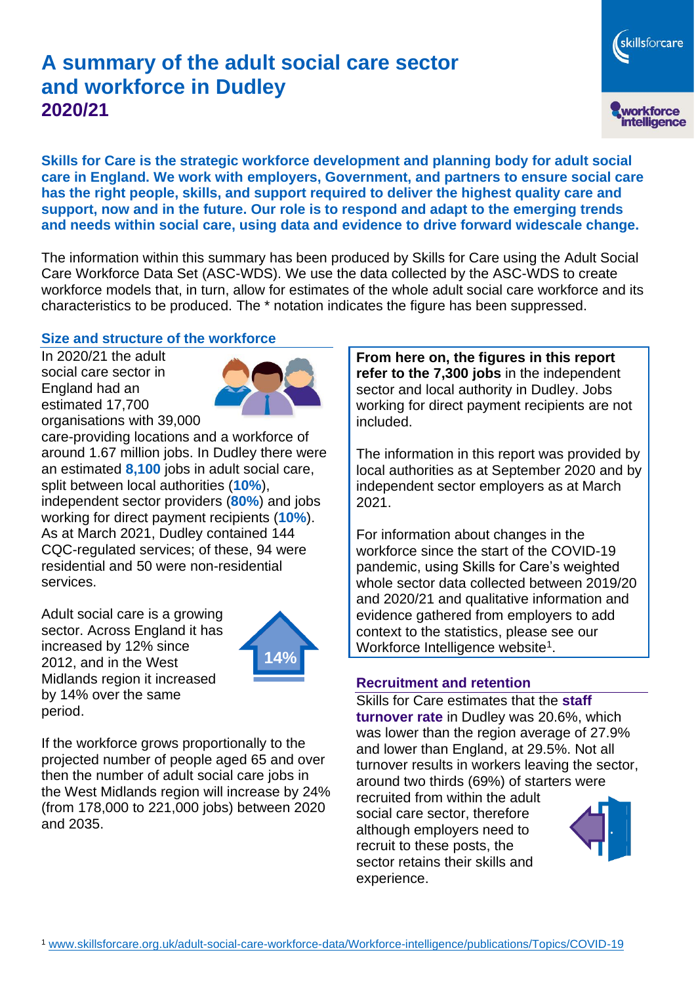# **A summary of the adult social care sector and workforce in Dudley 2020/21**

skillsforcare workforce<br>intelligence

**Skills for Care is the strategic workforce development and planning body for adult social care in England. We work with employers, Government, and partners to ensure social care has the right people, skills, and support required to deliver the highest quality care and support, now and in the future. Our role is to respond and adapt to the emerging trends and needs within social care, using data and evidence to drive forward widescale change.**

The information within this summary has been produced by Skills for Care using the Adult Social Care Workforce Data Set (ASC-WDS). We use the data collected by the ASC-WDS to create workforce models that, in turn, allow for estimates of the whole adult social care workforce and its characteristics to be produced. The \* notation indicates the figure has been suppressed.

#### **Size and structure of the workforce**

In 2020/21 the adult social care sector in England had an estimated 17,700 organisations with 39,000



care-providing locations and a workforce of around 1.67 million jobs. In Dudley there were an estimated **8,100** jobs in adult social care, split between local authorities (**10%**), independent sector providers (**80%**) and jobs working for direct payment recipients (**10%**). As at March 2021, Dudley contained 144 CQC-regulated services; of these, 94 were residential and 50 were non-residential services.

Adult social care is a growing sector. Across England it has increased by 12% since 2012, and in the West Midlands region it increased by 14% over the same period.



If the workforce grows proportionally to the projected number of people aged 65 and over then the number of adult social care jobs in the West Midlands region will increase by 24% (from 178,000 to 221,000 jobs) between 2020 and 2035.

**From here on, the figures in this report refer to the 7,300 jobs** in the independent sector and local authority in Dudley. Jobs working for direct payment recipients are not included.

The information in this report was provided by local authorities as at September 2020 and by independent sector employers as at March 2021.

For information about changes in the workforce since the start of the COVID-19 pandemic, using Skills for Care's weighted whole sector data collected between 2019/20 and 2020/21 and qualitative information and evidence gathered from employers to add context to the statistics, please see our Workforce Intelligence website<sup>1</sup>.

#### **Recruitment and retention**

Skills for Care estimates that the **staff turnover rate** in Dudley was 20.6%, which was lower than the region average of 27.9% and lower than England, at 29.5%. Not all turnover results in workers leaving the sector, around two thirds (69%) of starters were recruited from within the adult social care sector, therefore although employers need to recruit to these posts, the sector retains their skills and experience.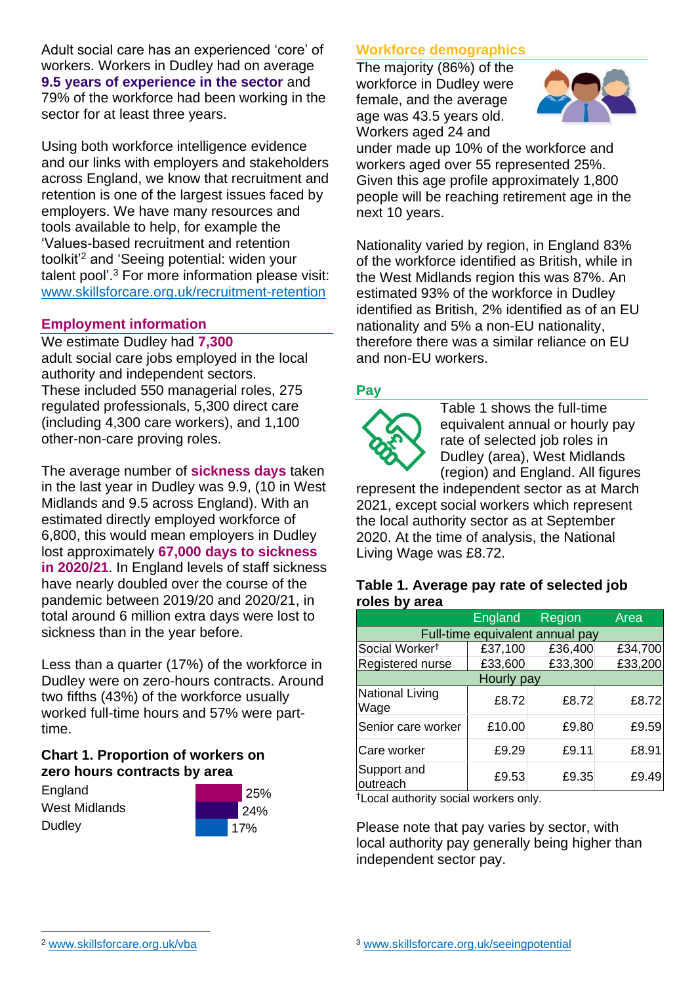Adult social care has an experienced 'core' of workers. Workers in Dudley had on average **9.5 years of experience in the sector** and 79% of the workforce had been working in the sector for at least three years.

Using both workforce intelligence evidence and our links with employers and stakeholders across England, we know that recruitment and retention is one of the largest issues faced by employers. We have many resources and tools available to help, for example the 'Values-based recruitment and retention toolkit'<sup>2</sup> and 'Seeing potential: widen your talent pool'. <sup>3</sup> For more information please visit: [www.skillsforcare.org.uk/recruitment-retention](http://www.skillsforcare.org.uk/recruitment-retention)

### **Employment information**

We estimate Dudley had **7,300** adult social care jobs employed in the local authority and independent sectors. These included 550 managerial roles, 275 regulated professionals, 5,300 direct care (including 4,300 care workers), and 1,100 other-non-care proving roles.

The average number of **sickness days** taken in the last year in Dudley was 9.9, (10 in West Midlands and 9.5 across England). With an estimated directly employed workforce of 6,800, this would mean employers in Dudley lost approximately **67,000 days to sickness in 2020/21**. In England levels of staff sickness have nearly doubled over the course of the pandemic between 2019/20 and 2020/21, in total around 6 million extra days were lost to sickness than in the year before.

Less than a quarter (17%) of the workforce in Dudley were on zero-hours contracts. Around two fifths (43%) of the workforce usually worked full-time hours and 57% were parttime.

### **Chart 1. Proportion of workers on zero hours contracts by area**

**England** West Midlands **Dudley** 



## **Workforce demographics**

The majority (86%) of the workforce in Dudley were female, and the average age was 43.5 years old. Workers aged 24 and



under made up 10% of the workforce and workers aged over 55 represented 25%. Given this age profile approximately 1,800 people will be reaching retirement age in the next 10 years.

Nationality varied by region, in England 83% of the workforce identified as British, while in the West Midlands region this was 87%. An estimated 93% of the workforce in Dudley identified as British, 2% identified as of an EU nationality and 5% a non-EU nationality, therefore there was a similar reliance on EU and non-EU workers.

### **Pay**



Table 1 shows the full-time equivalent annual or hourly pay rate of selected job roles in Dudley (area), West Midlands (region) and England. All figures

represent the independent sector as at March 2021, except social workers which represent the local authority sector as at September 2020. At the time of analysis, the National Living Wage was £8.72.

#### **Table 1. Average pay rate of selected job roles by area**

|                                 | <b>England</b> | Region  | Area    |
|---------------------------------|----------------|---------|---------|
| Full-time equivalent annual pay |                |         |         |
| Social Worker <sup>t</sup>      | £37,100        | £36,400 | £34,700 |
| Registered nurse                | £33,600        | £33,300 | £33,200 |
| Hourly pay                      |                |         |         |
| National Living<br>Wage         | £8.72          | £8.72   | £8.72   |
| Senior care worker              | £10.00         | £9.80   | £9.59   |
| Care worker                     | £9.29          | £9.11   | £8.91   |
| Support and<br>outreach         | £9.53          | £9.35   | £9.49   |

†Local authority social workers only.

Please note that pay varies by sector, with local authority pay generally being higher than independent sector pay.

[www.skillsforcare.org.uk/vba](http://www.skillsforcare.org.uk/vba)